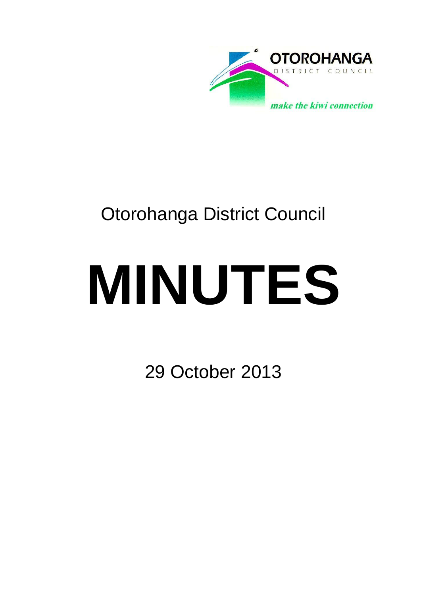

## Otorohanga District Council

# **MINUTES**

29 October 2013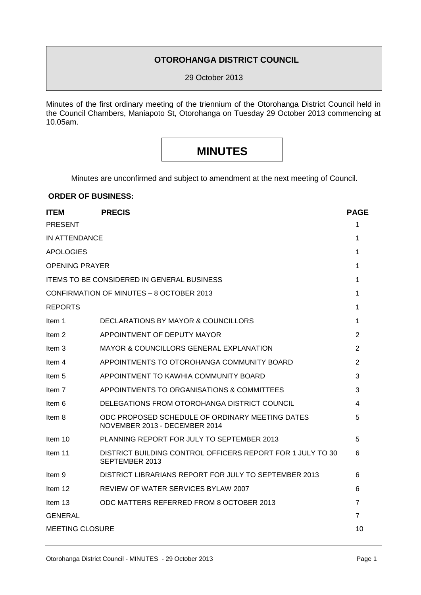#### **OTOROHANGA DISTRICT COUNCIL**

29 October 2013

Minutes of the first ordinary meeting of the triennium of the Otorohanga District Council held in the Council Chambers, Maniapoto St, Otorohanga on Tuesday 29 October 2013 commencing at 10.05am.

### **MINUTES**

Minutes are unconfirmed and subject to amendment at the next meeting of Council.

#### **ORDER OF BUSINESS:**

| <b>ITEM</b>                                       | <b>PRECIS</b>                                                                    | <b>PAGE</b>    |  |
|---------------------------------------------------|----------------------------------------------------------------------------------|----------------|--|
| <b>PRESENT</b>                                    |                                                                                  | 1              |  |
| <b>IN ATTENDANCE</b>                              |                                                                                  |                |  |
| <b>APOLOGIES</b>                                  |                                                                                  | 1              |  |
| <b>OPENING PRAYER</b>                             |                                                                                  |                |  |
| <b>ITEMS TO BE CONSIDERED IN GENERAL BUSINESS</b> |                                                                                  |                |  |
| CONFIRMATION OF MINUTES - 8 OCTOBER 2013          |                                                                                  |                |  |
| <b>REPORTS</b>                                    |                                                                                  | 1              |  |
| Item 1                                            | DECLARATIONS BY MAYOR & COUNCILLORS                                              | 1              |  |
| Item 2                                            | APPOINTMENT OF DEPUTY MAYOR                                                      | 2              |  |
| Item 3                                            | <b>MAYOR &amp; COUNCILLORS GENERAL EXPLANATION</b>                               | $\overline{2}$ |  |
| Item 4                                            | APPOINTMENTS TO OTOROHANGA COMMUNITY BOARD                                       | $\overline{2}$ |  |
| Item 5                                            | APPOINTMENT TO KAWHIA COMMUNITY BOARD                                            | 3              |  |
| Item 7                                            | APPOINTMENTS TO ORGANISATIONS & COMMITTEES                                       | 3              |  |
| Item 6                                            | DELEGATIONS FROM OTOROHANGA DISTRICT COUNCIL                                     | 4              |  |
| Item 8                                            | ODC PROPOSED SCHEDULE OF ORDINARY MEETING DATES<br>NOVEMBER 2013 - DECEMBER 2014 | 5              |  |
| Item 10                                           | PLANNING REPORT FOR JULY TO SEPTEMBER 2013                                       | 5              |  |
| Item 11                                           | DISTRICT BUILDING CONTROL OFFICERS REPORT FOR 1 JULY TO 30<br>SEPTEMBER 2013     | 6              |  |
| Item 9                                            | DISTRICT LIBRARIANS REPORT FOR JULY TO SEPTEMBER 2013                            | 6              |  |
| Item 12                                           | REVIEW OF WATER SERVICES BYLAW 2007                                              | 6              |  |
| Item 13                                           | ODC MATTERS REFERRED FROM 8 OCTOBER 2013                                         | 7              |  |
| GENERAL                                           |                                                                                  | 7              |  |
| <b>MEETING CLOSURE</b>                            |                                                                                  |                |  |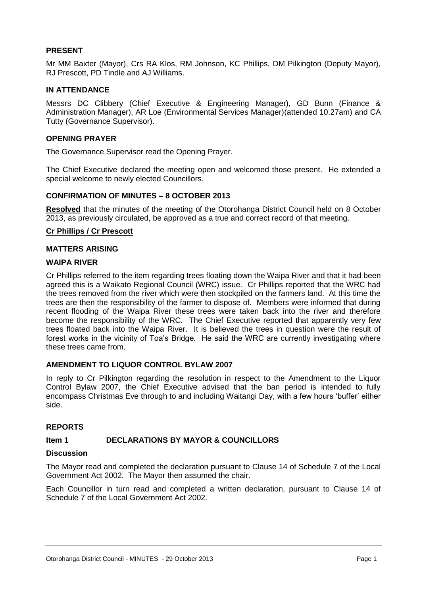#### **PRESENT**

Mr MM Baxter (Mayor), Crs RA Klos, RM Johnson, KC Phillips, DM Pilkington (Deputy Mayor), RJ Prescott, PD Tindle and AJ Williams.

#### **IN ATTENDANCE**

Messrs DC Clibbery (Chief Executive & Engineering Manager), GD Bunn (Finance & Administration Manager), AR Loe (Environmental Services Manager)(attended 10.27am) and CA Tutty (Governance Supervisor).

#### **OPENING PRAYER**

The Governance Supervisor read the Opening Prayer.

The Chief Executive declared the meeting open and welcomed those present. He extended a special welcome to newly elected Councillors.

#### **CONFIRMATION OF MINUTES – 8 OCTOBER 2013**

**Resolved** that the minutes of the meeting of the Otorohanga District Council held on 8 October 2013, as previously circulated, be approved as a true and correct record of that meeting.

#### **Cr Phillips / Cr Prescott**

#### **MATTERS ARISING**

#### **WAIPA RIVER**

Cr Phillips referred to the item regarding trees floating down the Waipa River and that it had been agreed this is a Waikato Regional Council (WRC) issue. Cr Phillips reported that the WRC had the trees removed from the river which were then stockpiled on the farmers land. At this time the trees are then the responsibility of the farmer to dispose of. Members were informed that during recent flooding of the Waipa River these trees were taken back into the river and therefore become the responsibility of the WRC. The Chief Executive reported that apparently very few trees floated back into the Waipa River. It is believed the trees in question were the result of forest works in the vicinity of Toa's Bridge. He said the WRC are currently investigating where these trees came from.

#### **AMENDMENT TO LIQUOR CONTROL BYLAW 2007**

In reply to Cr Pilkington regarding the resolution in respect to the Amendment to the Liquor Control Bylaw 2007, the Chief Executive advised that the ban period is intended to fully encompass Christmas Eve through to and including Waitangi Day, with a few hours 'buffer' either side.

#### **REPORTS**

#### **Item 1 DECLARATIONS BY MAYOR & COUNCILLORS**

#### **Discussion**

The Mayor read and completed the declaration pursuant to Clause 14 of Schedule 7 of the Local Government Act 2002. The Mayor then assumed the chair.

Each Councillor in turn read and completed a written declaration, pursuant to Clause 14 of Schedule 7 of the Local Government Act 2002.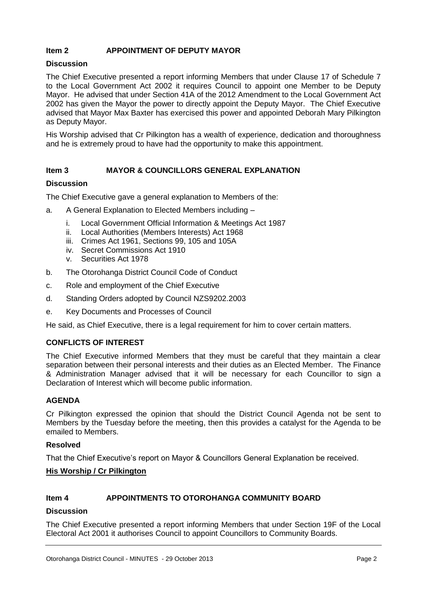#### **Item 2 APPOINTMENT OF DEPUTY MAYOR**

#### **Discussion**

The Chief Executive presented a report informing Members that under Clause 17 of Schedule 7 to the Local Government Act 2002 it requires Council to appoint one Member to be Deputy Mayor. He advised that under Section 41A of the 2012 Amendment to the Local Government Act 2002 has given the Mayor the power to directly appoint the Deputy Mayor. The Chief Executive advised that Mayor Max Baxter has exercised this power and appointed Deborah Mary Pilkington as Deputy Mayor.

His Worship advised that Cr Pilkington has a wealth of experience, dedication and thoroughness and he is extremely proud to have had the opportunity to make this appointment.

#### **Item 3 MAYOR & COUNCILLORS GENERAL EXPLANATION**

#### **Discussion**

The Chief Executive gave a general explanation to Members of the:

- a. A General Explanation to Elected Members including
	- i. Local Government Official Information & Meetings Act 1987
	- ii. Local Authorities (Members Interests) Act 1968
	- iii. Crimes Act 1961, Sections 99, 105 and 105A
	- iv. Secret Commissions Act 1910
	- v. Securities Act 1978
- b. The Otorohanga District Council Code of Conduct
- c. Role and employment of the Chief Executive
- d. Standing Orders adopted by Council NZS9202.2003
- e. Key Documents and Processes of Council

He said, as Chief Executive, there is a legal requirement for him to cover certain matters.

#### **CONFLICTS OF INTEREST**

The Chief Executive informed Members that they must be careful that they maintain a clear separation between their personal interests and their duties as an Elected Member. The Finance & Administration Manager advised that it will be necessary for each Councillor to sign a Declaration of Interest which will become public information.

#### **AGENDA**

Cr Pilkington expressed the opinion that should the District Council Agenda not be sent to Members by the Tuesday before the meeting, then this provides a catalyst for the Agenda to be emailed to Members.

#### **Resolved**

That the Chief Executive's report on Mayor & Councillors General Explanation be received.

#### **His Worship / Cr Pilkington**

#### **Item 4 APPOINTMENTS TO OTOROHANGA COMMUNITY BOARD**

#### **Discussion**

The Chief Executive presented a report informing Members that under Section 19F of the Local Electoral Act 2001 it authorises Council to appoint Councillors to Community Boards.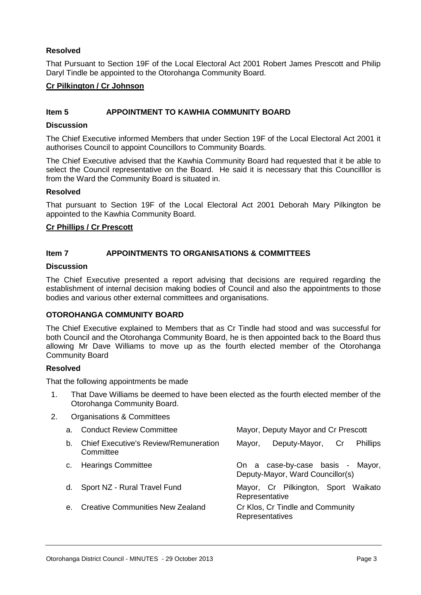#### **Resolved**

That Pursuant to Section 19F of the Local Electoral Act 2001 Robert James Prescott and Philip Daryl Tindle be appointed to the Otorohanga Community Board.

#### **Cr Pilkington / Cr Johnson**

#### **Item 5 APPOINTMENT TO KAWHIA COMMUNITY BOARD**

#### **Discussion**

The Chief Executive informed Members that under Section 19F of the Local Electoral Act 2001 it authorises Council to appoint Councillors to Community Boards.

The Chief Executive advised that the Kawhia Community Board had requested that it be able to select the Council representative on the Board. He said it is necessary that this Councilllor is from the Ward the Community Board is situated in.

#### **Resolved**

That pursuant to Section 19F of the Local Electoral Act 2001 Deborah Mary Pilkington be appointed to the Kawhia Community Board.

#### **Cr Phillips / Cr Prescott**

#### **Item 7 APPOINTMENTS TO ORGANISATIONS & COMMITTEES**

#### **Discussion**

The Chief Executive presented a report advising that decisions are required regarding the establishment of internal decision making bodies of Council and also the appointments to those bodies and various other external committees and organisations.

#### **OTOROHANGA COMMUNITY BOARD**

The Chief Executive explained to Members that as Cr Tindle had stood and was successful for both Council and the Otorohanga Community Board, he is then appointed back to the Board thus allowing Mr Dave Williams to move up as the fourth elected member of the Otorohanga Community Board

#### **Resolved**

That the following appointments be made

- 1. That Dave Williams be deemed to have been elected as the fourth elected member of the Otorohanga Community Board.
- 2. Organisations & Committees

| a.             | <b>Conduct Review Committee</b>                           | Mayor, Deputy Mayor and Cr Prescott                                     |
|----------------|-----------------------------------------------------------|-------------------------------------------------------------------------|
| b.             | <b>Chief Executive's Review/Remuneration</b><br>Committee | Deputy-Mayor,<br>Cr<br><b>Phillips</b><br>Mayor,                        |
| $C_{\cdot}$    | <b>Hearings Committee</b>                                 | On a case-by-case basis -<br>Mayor,<br>Deputy-Mayor, Ward Councillor(s) |
| d.             | Sport NZ - Rural Travel Fund                              | Mayor, Cr Pilkington, Sport Waikato<br>Representative                   |
| $\mathbf{e}$ . | <b>Creative Communities New Zealand</b>                   | Cr Klos, Cr Tindle and Community<br>Representatives                     |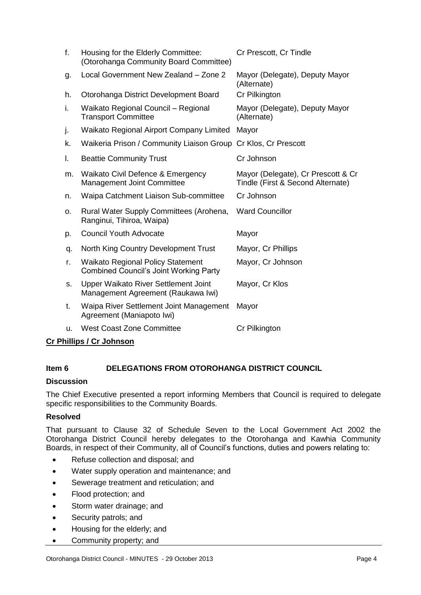| f. | Housing for the Elderly Committee:<br>(Otorohanga Community Board Committee)              | Cr Prescott, Cr Tindle                                                  |
|----|-------------------------------------------------------------------------------------------|-------------------------------------------------------------------------|
| g. | Local Government New Zealand - Zone 2                                                     | Mayor (Delegate), Deputy Mayor<br>(Alternate)                           |
| h. | Otorohanga District Development Board                                                     | Cr Pilkington                                                           |
| i. | Waikato Regional Council - Regional<br><b>Transport Committee</b>                         | Mayor (Delegate), Deputy Mayor<br>(Alternate)                           |
| j. | Waikato Regional Airport Company Limited                                                  | Mayor                                                                   |
| k. | Waikeria Prison / Community Liaison Group                                                 | Cr Klos, Cr Prescott                                                    |
| I. | <b>Beattie Community Trust</b>                                                            | Cr Johnson                                                              |
| m. | Waikato Civil Defence & Emergency<br><b>Management Joint Committee</b>                    | Mayor (Delegate), Cr Prescott & Cr<br>Tindle (First & Second Alternate) |
| n. | Waipa Catchment Liaison Sub-committee                                                     | Cr Johnson                                                              |
| о. | Rural Water Supply Committees (Arohena,<br>Ranginui, Tihiroa, Waipa)                      | <b>Ward Councillor</b>                                                  |
| p. | <b>Council Youth Advocate</b>                                                             | Mayor                                                                   |
| q. | North King Country Development Trust                                                      | Mayor, Cr Phillips                                                      |
| r. | <b>Waikato Regional Policy Statement</b><br><b>Combined Council's Joint Working Party</b> | Mayor, Cr Johnson                                                       |
| S. | Upper Waikato River Settlement Joint<br>Management Agreement (Raukawa Iwi)                | Mayor, Cr Klos                                                          |
| t. | Waipa River Settlement Joint Management<br>Agreement (Maniapoto Iwi)                      | Mayor                                                                   |
| u. | <b>West Coast Zone Committee</b>                                                          | Cr Pilkington                                                           |
|    |                                                                                           |                                                                         |

#### **Cr Phillips / Cr Johnson**

#### **Item 6 DELEGATIONS FROM OTOROHANGA DISTRICT COUNCIL**

#### **Discussion**

The Chief Executive presented a report informing Members that Council is required to delegate specific responsibilities to the Community Boards.

#### **Resolved**

That pursuant to Clause 32 of Schedule Seven to the Local Government Act 2002 the Otorohanga District Council hereby delegates to the Otorohanga and Kawhia Community Boards, in respect of their Community, all of Council's functions, duties and powers relating to:

- Refuse collection and disposal; and
- Water supply operation and maintenance; and
- Sewerage treatment and reticulation; and
- Flood protection; and
- Storm water drainage; and
- Security patrols; and
- Housing for the elderly; and
- Community property; and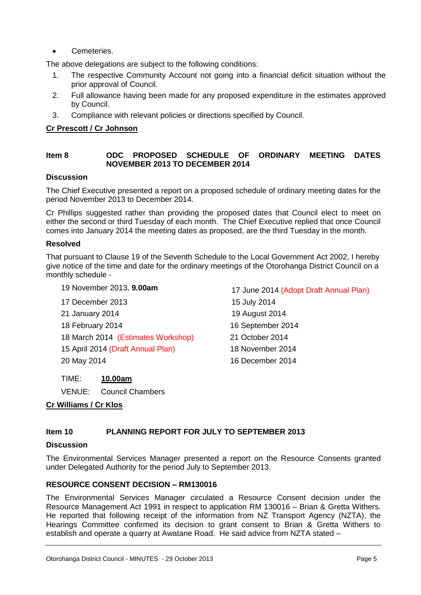Cemeteries.

The above delegations are subject to the following conditions:

- 1. The respective Community Account not going into a financial deficit situation without the prior approval of Council.
- 2. Full allowance having been made for any proposed expenditure in the estimates approved by Council.
- 3. Compliance with relevant policies or directions specified by Council.

#### **Cr Prescott / Cr Johnson**

#### **Item 8 ODC PROPOSED SCHEDULE OF ORDINARY MEETING DATES NOVEMBER 2013 TO DECEMBER 2014**

#### **Discussion**

The Chief Executive presented a report on a proposed schedule of ordinary meeting dates for the period November 2013 to December 2014.

Cr Phillips suggested rather than providing the proposed dates that Council elect to meet on either the second or third Tuesday of each month. The Chief Executive replied that once Council comes into January 2014 the meeting dates as proposed, are the third Tuesday in the month.

#### **Resolved**

That pursuant to Clause 19 of the Seventh Schedule to the Local Government Act 2002, I hereby give notice of the time and date for the ordinary meetings of the Otorohanga District Council on a monthly schedule -

#### 19 November 2013, **9.00am** 17 June 2014 (Adopt Draft Annual Plan)

- 17 December 2013 15 July 2014 21 January 2014 19 August 2014 18 February 2014 16 September 2014 18 March 2014 (Estimates Workshop) 21 October 2014
- 15 April 2014 (Draft Annual Plan) 18 November 2014
- 

TIME: **10.00am**

VENUE: Council Chambers

#### **Cr Williams / Cr Klos**

#### **Item 10 PLANNING REPORT FOR JULY TO SEPTEMBER 2013**

#### **Discussion**

The Environmental Services Manager presented a report on the Resource Consents granted under Delegated Authority for the period July to September 2013.

#### **RESOURCE CONSENT DECISION – RM130016**

The Environmental Services Manager circulated a Resource Consent decision under the Resource Management Act 1991 in respect to application RM 130016 – Brian & Gretta Withers. He reported that following receipt of the information from NZ Transport Agency (NZTA), the Hearings Committee confirmed its decision to grant consent to Brian & Gretta Withers to establish and operate a quarry at Awatane Road. He said advice from NZTA stated –

20 May 2014 16 December 2014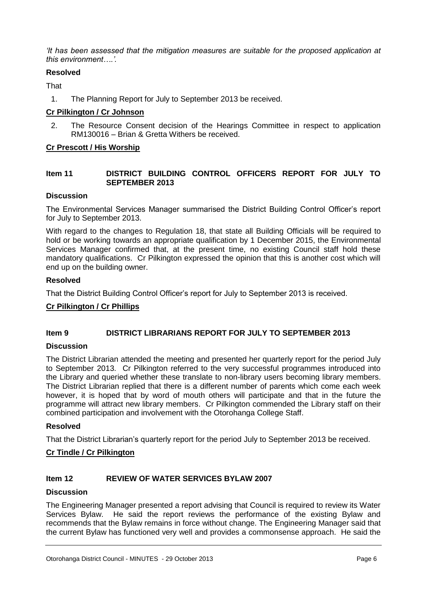*'It has been assessed that the mitigation measures are suitable for the proposed application at this environment….'.* 

#### **Resolved**

**That** 

1. The Planning Report for July to September 2013 be received.

#### **Cr Pilkington / Cr Johnson**

2. The Resource Consent decision of the Hearings Committee in respect to application RM130016 – Brian & Gretta Withers be received.

#### **Cr Prescott / His Worship**

#### **Item 11 DISTRICT BUILDING CONTROL OFFICERS REPORT FOR JULY TO SEPTEMBER 2013**

#### **Discussion**

The Environmental Services Manager summarised the District Building Control Officer's report for July to September 2013.

With regard to the changes to Regulation 18, that state all Building Officials will be required to hold or be working towards an appropriate qualification by 1 December 2015, the Environmental Services Manager confirmed that, at the present time, no existing Council staff hold these mandatory qualifications. Cr Pilkington expressed the opinion that this is another cost which will end up on the building owner.

#### **Resolved**

That the District Building Control Officer's report for July to September 2013 is received.

#### **Cr Pilkington / Cr Phillips**

#### **Item 9 DISTRICT LIBRARIANS REPORT FOR JULY TO SEPTEMBER 2013**

#### **Discussion**

The District Librarian attended the meeting and presented her quarterly report for the period July to September 2013. Cr Pilkington referred to the very successful programmes introduced into the Library and queried whether these translate to non-library users becoming library members. The District Librarian replied that there is a different number of parents which come each week however, it is hoped that by word of mouth others will participate and that in the future the programme will attract new library members. Cr Pilkington commended the Library staff on their combined participation and involvement with the Otorohanga College Staff.

#### **Resolved**

That the District Librarian's quarterly report for the period July to September 2013 be received.

#### **Cr Tindle / Cr Pilkington**

#### **Item 12 REVIEW OF WATER SERVICES BYLAW 2007**

#### **Discussion**

The Engineering Manager presented a report advising that Council is required to review its Water Services Bylaw. He said the report reviews the performance of the existing Bylaw and recommends that the Bylaw remains in force without change. The Engineering Manager said that the current Bylaw has functioned very well and provides a commonsense approach. He said the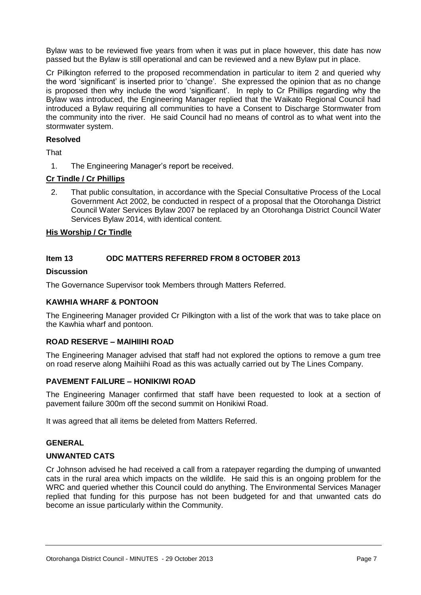Bylaw was to be reviewed five years from when it was put in place however, this date has now passed but the Bylaw is still operational and can be reviewed and a new Bylaw put in place.

Cr Pilkington referred to the proposed recommendation in particular to item 2 and queried why the word 'significant' is inserted prior to 'change'. She expressed the opinion that as no change is proposed then why include the word 'significant'. In reply to Cr Phillips regarding why the Bylaw was introduced, the Engineering Manager replied that the Waikato Regional Council had introduced a Bylaw requiring all communities to have a Consent to Discharge Stormwater from the community into the river. He said Council had no means of control as to what went into the stormwater system.

#### **Resolved**

**That** 

1. The Engineering Manager's report be received.

#### **Cr Tindle / Cr Phillips**

2. That public consultation, in accordance with the Special Consultative Process of the Local Government Act 2002, be conducted in respect of a proposal that the Otorohanga District Council Water Services Bylaw 2007 be replaced by an Otorohanga District Council Water Services Bylaw 2014, with identical content.

#### **His Worship / Cr Tindle**

#### **Item 13 ODC MATTERS REFERRED FROM 8 OCTOBER 2013**

#### **Discussion**

The Governance Supervisor took Members through Matters Referred.

#### **KAWHIA WHARF & PONTOON**

The Engineering Manager provided Cr Pilkington with a list of the work that was to take place on the Kawhia wharf and pontoon.

#### **ROAD RESERVE – MAIHIIHI ROAD**

The Engineering Manager advised that staff had not explored the options to remove a gum tree on road reserve along Maihiihi Road as this was actually carried out by The Lines Company.

#### **PAVEMENT FAILURE – HONIKIWI ROAD**

The Engineering Manager confirmed that staff have been requested to look at a section of pavement failure 300m off the second summit on Honikiwi Road.

It was agreed that all items be deleted from Matters Referred.

#### **GENERAL**

#### **UNWANTED CATS**

Cr Johnson advised he had received a call from a ratepayer regarding the dumping of unwanted cats in the rural area which impacts on the wildlife. He said this is an ongoing problem for the WRC and queried whether this Council could do anything. The Environmental Services Manager replied that funding for this purpose has not been budgeted for and that unwanted cats do become an issue particularly within the Community.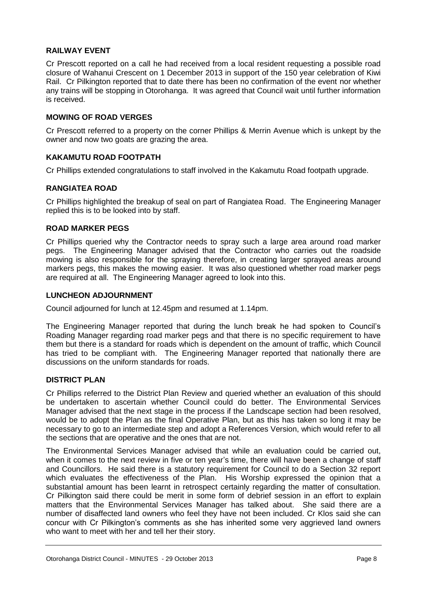#### **RAILWAY EVENT**

Cr Prescott reported on a call he had received from a local resident requesting a possible road closure of Wahanui Crescent on 1 December 2013 in support of the 150 year celebration of Kiwi Rail. Cr Pilkington reported that to date there has been no confirmation of the event nor whether any trains will be stopping in Otorohanga. It was agreed that Council wait until further information is received.

#### **MOWING OF ROAD VERGES**

Cr Prescott referred to a property on the corner Phillips & Merrin Avenue which is unkept by the owner and now two goats are grazing the area.

#### **KAKAMUTU ROAD FOOTPATH**

Cr Phillips extended congratulations to staff involved in the Kakamutu Road footpath upgrade.

#### **RANGIATEA ROAD**

Cr Phillips highlighted the breakup of seal on part of Rangiatea Road. The Engineering Manager replied this is to be looked into by staff.

#### **ROAD MARKER PEGS**

Cr Phillips queried why the Contractor needs to spray such a large area around road marker pegs. The Engineering Manager advised that the Contractor who carries out the roadside mowing is also responsible for the spraying therefore, in creating larger sprayed areas around markers pegs, this makes the mowing easier. It was also questioned whether road marker pegs are required at all. The Engineering Manager agreed to look into this.

#### **LUNCHEON ADJOURNMENT**

Council adjourned for lunch at 12.45pm and resumed at 1.14pm.

The Engineering Manager reported that during the lunch break he had spoken to Council's Roading Manager regarding road marker pegs and that there is no specific requirement to have them but there is a standard for roads which is dependent on the amount of traffic, which Council has tried to be compliant with. The Engineering Manager reported that nationally there are discussions on the uniform standards for roads.

#### **DISTRICT PLAN**

Cr Phillips referred to the District Plan Review and queried whether an evaluation of this should be undertaken to ascertain whether Council could do better. The Environmental Services Manager advised that the next stage in the process if the Landscape section had been resolved, would be to adopt the Plan as the final Operative Plan, but as this has taken so long it may be necessary to go to an intermediate step and adopt a References Version, which would refer to all the sections that are operative and the ones that are not.

The Environmental Services Manager advised that while an evaluation could be carried out, when it comes to the next review in five or ten year's time, there will have been a change of staff and Councillors. He said there is a statutory requirement for Council to do a Section 32 report which evaluates the effectiveness of the Plan. His Worship expressed the opinion that a substantial amount has been learnt in retrospect certainly regarding the matter of consultation. Cr Pilkington said there could be merit in some form of debrief session in an effort to explain matters that the Environmental Services Manager has talked about. She said there are a number of disaffected land owners who feel they have not been included. Cr Klos said she can concur with Cr Pilkington's comments as she has inherited some very aggrieved land owners who want to meet with her and tell her their story.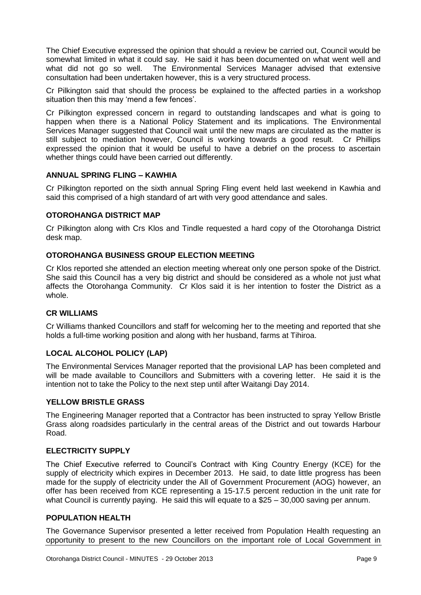The Chief Executive expressed the opinion that should a review be carried out, Council would be somewhat limited in what it could say. He said it has been documented on what went well and what did not go so well. The Environmental Services Manager advised that extensive consultation had been undertaken however, this is a very structured process.

Cr Pilkington said that should the process be explained to the affected parties in a workshop situation then this may 'mend a few fences'.

Cr Pilkington expressed concern in regard to outstanding landscapes and what is going to happen when there is a National Policy Statement and its implications. The Environmental Services Manager suggested that Council wait until the new maps are circulated as the matter is still subject to mediation however, Council is working towards a good result. Cr Phillips expressed the opinion that it would be useful to have a debrief on the process to ascertain whether things could have been carried out differently.

#### **ANNUAL SPRING FLING – KAWHIA**

Cr Pilkington reported on the sixth annual Spring Fling event held last weekend in Kawhia and said this comprised of a high standard of art with very good attendance and sales.

#### **OTOROHANGA DISTRICT MAP**

Cr Pilkington along with Crs Klos and Tindle requested a hard copy of the Otorohanga District desk map.

#### **OTOROHANGA BUSINESS GROUP ELECTION MEETING**

Cr Klos reported she attended an election meeting whereat only one person spoke of the District. She said this Council has a very big district and should be considered as a whole not just what affects the Otorohanga Community. Cr Klos said it is her intention to foster the District as a whole.

#### **CR WILLIAMS**

Cr Williams thanked Councillors and staff for welcoming her to the meeting and reported that she holds a full-time working position and along with her husband, farms at Tihiroa.

#### **LOCAL ALCOHOL POLICY (LAP)**

The Environmental Services Manager reported that the provisional LAP has been completed and will be made available to Councillors and Submitters with a covering letter. He said it is the intention not to take the Policy to the next step until after Waitangi Day 2014.

#### **YELLOW BRISTLE GRASS**

The Engineering Manager reported that a Contractor has been instructed to spray Yellow Bristle Grass along roadsides particularly in the central areas of the District and out towards Harbour Road.

#### **ELECTRICITY SUPPLY**

The Chief Executive referred to Council's Contract with King Country Energy (KCE) for the supply of electricity which expires in December 2013. He said, to date little progress has been made for the supply of electricity under the All of Government Procurement (AOG) however, an offer has been received from KCE representing a 15-17.5 percent reduction in the unit rate for what Council is currently paying. He said this will equate to a \$25 – 30,000 saving per annum.

#### **POPULATION HEALTH**

The Governance Supervisor presented a letter received from Population Health requesting an opportunity to present to the new Councillors on the important role of Local Government in